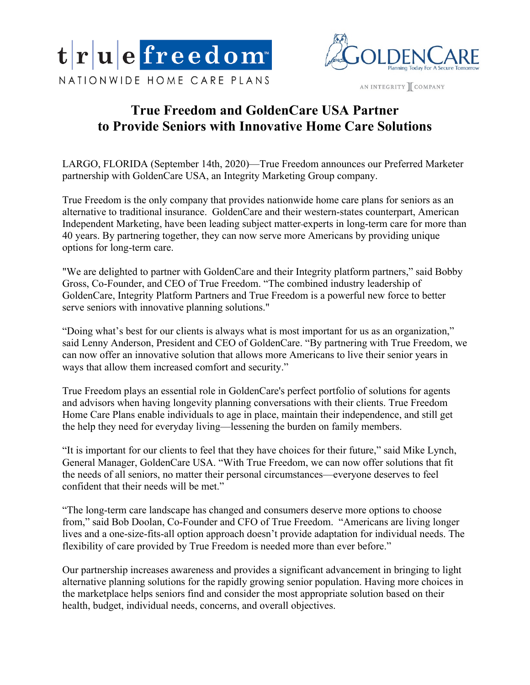



AN INTEGRITY COMPANY

# **True Freedom and GoldenCare USA Partner to Provide Seniors with Innovative Home Care Solutions**

LARGO, FLORIDA (September 14th, 2020)—True Freedom announces our Preferred Marketer partnership with GoldenCare USA, an Integrity Marketing Group company.

True Freedom is the only company that provides nationwide home care plans for seniors as an alternative to traditional insurance. GoldenCare and their western-states counterpart, American Independent Marketing, have been leading subject matter experts in long-term care for more than 40 years. By partnering together, they can now serve more Americans by providing unique options for long-term care.

"We are delighted to partner with GoldenCare and their Integrity platform partners," said Bobby Gross, Co-Founder, and CEO of True Freedom. "The combined industry leadership of GoldenCare, Integrity Platform Partners and True Freedom is a powerful new force to better serve seniors with innovative planning solutions."

"Doing what's best for our clients is always what is most important for us as an organization," said Lenny Anderson, President and CEO of GoldenCare. "By partnering with True Freedom, we can now offer an innovative solution that allows more Americans to live their senior years in ways that allow them increased comfort and security."

True Freedom plays an essential role in GoldenCare's perfect portfolio of solutions for agents and advisors when having longevity planning conversations with their clients. True Freedom Home Care Plans enable individuals to age in place, maintain their independence, and still get the help they need for everyday living—lessening the burden on family members.

"It is important for our clients to feel that they have choices for their future," said Mike Lynch, General Manager, GoldenCare USA. "With True Freedom, we can now offer solutions that fit the needs of all seniors, no matter their personal circumstances—everyone deserves to feel confident that their needs will be met."

"The long-term care landscape has changed and consumers deserve more options to choose from," said Bob Doolan, Co-Founder and CFO of True Freedom. "Americans are living longer lives and a one-size-fits-all option approach doesn't provide adaptation for individual needs. The flexibility of care provided by True Freedom is needed more than ever before."

Our partnership increases awareness and provides a significant advancement in bringing to light alternative planning solutions for the rapidly growing senior population. Having more choices in the marketplace helps seniors find and consider the most appropriate solution based on their health, budget, individual needs, concerns, and overall objectives.